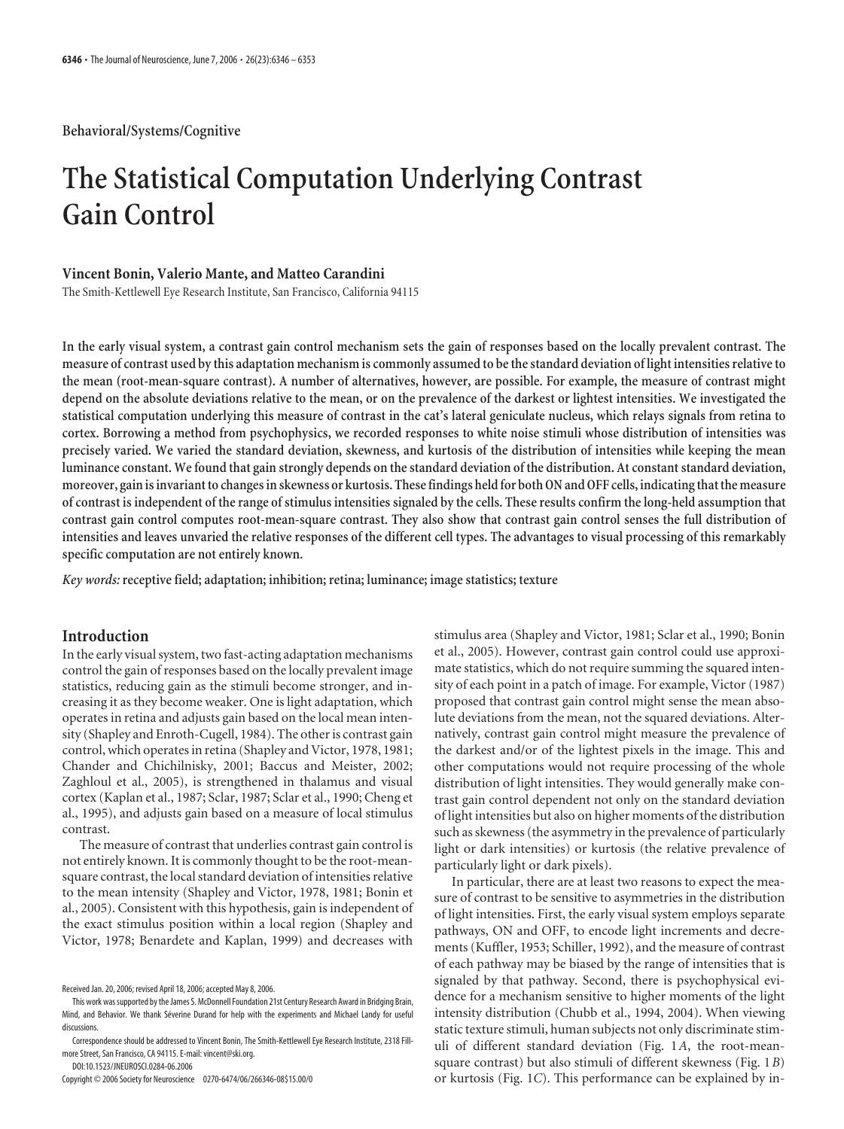**Behavioral/Systems/Cognitive**

# **The Statistical Computation Underlying Contrast Gain Control**

# **Vincent Bonin, Valerio Mante, and Matteo Carandini**

The Smith-Kettlewell Eye Research Institute, San Francisco, California 94115

**In the early visual system, a contrast gain control mechanism sets the gain of responses based on the locally prevalent contrast. The measure of contrast used by this adaptation mechanism is commonly assumed to be the standard deviation of light intensities relative to the mean (root-mean-square contrast). A number of alternatives, however, are possible. For example, the measure of contrast might depend on the absolute deviations relative to the mean, or on the prevalence of the darkest or lightest intensities. We investigated the statistical computation underlying this measure of contrast in the cat's lateral geniculate nucleus, which relays signals from retina to cortex. Borrowing a method from psychophysics, we recorded responses to white noise stimuli whose distribution of intensities was precisely varied. We varied the standard deviation, skewness, and kurtosis of the distribution of intensities while keeping the mean luminance constant. We found that gain strongly depends on the standard deviation of the distribution. At constant standard deviation, moreover, gain is invariantto changes in skewness or kurtosis. Thesefindings heldfor both ON and OFF cells, indicatingthatthe measure of contrast is independent of the range of stimulus intensities signaled by the cells. These results confirm the long-held assumption that contrast gain control computes root-mean-square contrast. They also show that contrast gain control senses the full distribution of intensities and leaves unvaried the relative responses of the different cell types. The advantages to visual processing of this remarkably specific computation are not entirely known.**

*Key words:* **receptive field; adaptation; inhibition; retina; luminance; image statistics; texture**

# **Introduction**

In the early visual system, two fast-acting adaptation mechanisms control the gain of responses based on the locally prevalent image statistics, reducing gain as the stimuli become stronger, and increasing it as they become weaker. One is light adaptation, which operates in retina and adjusts gain based on the local mean intensity (Shapley and Enroth-Cugell, 1984). The other is contrast gain control, which operates in retina (Shapley and Victor, 1978, 1981; Chander and Chichilnisky, 2001; Baccus and Meister, 2002; Zaghloul et al., 2005), is strengthened in thalamus and visual cortex (Kaplan et al., 1987; Sclar, 1987; Sclar et al., 1990; Cheng et al., 1995), and adjusts gain based on a measure of local stimulus contrast.

The measure of contrast that underlies contrast gain control is not entirely known. It is commonly thought to be the root-meansquare contrast, the local standard deviation of intensities relative to the mean intensity (Shapley and Victor, 1978, 1981; Bonin et al., 2005). Consistent with this hypothesis, gain is independent of the exact stimulus position within a local region (Shapley and Victor, 1978; Benardete and Kaplan, 1999) and decreases with

DOI:10.1523/JNEUROSCI.0284-06.2006

Copyright © 2006 Society for Neuroscience 0270-6474/06/266346-08\$15.00/0

stimulus area (Shapley and Victor, 1981; Sclar et al., 1990; Bonin et al., 2005). However, contrast gain control could use approximate statistics, which do not require summing the squared intensity of each point in a patch of image. For example, Victor (1987) proposed that contrast gain control might sense the mean absolute deviations from the mean, not the squared deviations. Alternatively, contrast gain control might measure the prevalence of the darkest and/or of the lightest pixels in the image. This and other computations would not require processing of the whole distribution of light intensities. They would generally make contrast gain control dependent not only on the standard deviation of light intensities but also on higher moments of the distribution such as skewness (the asymmetry in the prevalence of particularly light or dark intensities) or kurtosis (the relative prevalence of particularly light or dark pixels).

In particular, there are at least two reasons to expect the measure of contrast to be sensitive to asymmetries in the distribution of light intensities. First, the early visual system employs separate pathways, ON and OFF, to encode light increments and decrements (Kuffler, 1953; Schiller, 1992), and the measure of contrast of each pathway may be biased by the range of intensities that is signaled by that pathway. Second, there is psychophysical evidence for a mechanism sensitive to higher moments of the light intensity distribution (Chubb et al., 1994, 2004). When viewing static texture stimuli, human subjects not only discriminate stimuli of different standard deviation (Fig. 1*A*, the root-meansquare contrast) but also stimuli of different skewness (Fig. 1*B*) or kurtosis (Fig. 1*C*). This performance can be explained by in-

Received Jan. 20, 2006; revised April 18, 2006; accepted May 8, 2006.

This work wassupported by the James S. McDonnell Foundation 21st Century Research Award in Bridging Brain, Mind, and Behavior. We thank Séverine Durand for help with the experiments and Michael Landy for useful discussions.

Correspondence should be addressed to Vincent Bonin, The Smith-Kettlewell Eye Research Institute, 2318 Fillmore Street, San Francisco, CA 94115. E-mail: vincent@ski.org.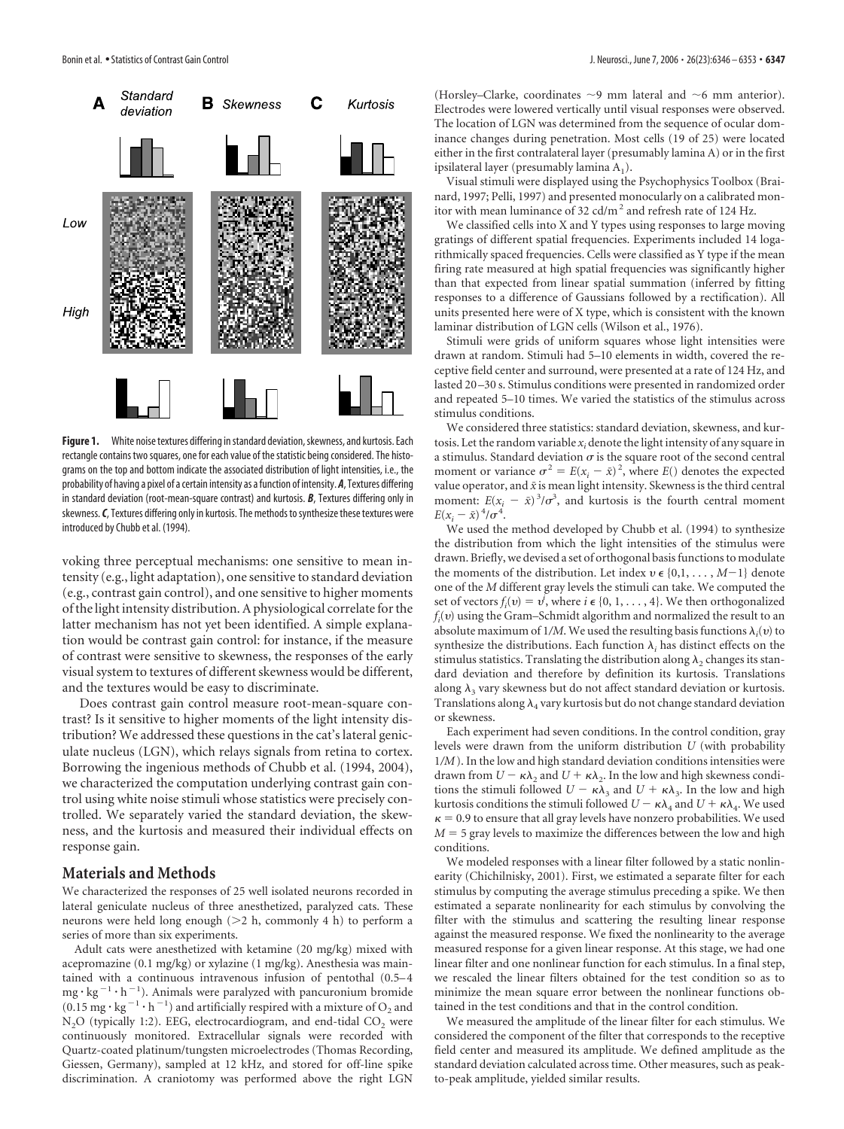

Figure 1. White noise textures differing in standard deviation, skewness, and kurtosis. Each rectangle contains two squares, one for each value of the statistic being considered. The histograms on the top and bottom indicate the associated distribution of light intensities, i.e., the probability of having a pixel of a certain intensity as a function of intensity. *A*, Textures differing in standard deviation (root-mean-square contrast) and kurtosis. *B*, Textures differing only in skewness. C, Textures differing only in kurtosis. The methods to synthesize these textures were introduced by Chubb et al. (1994).

voking three perceptual mechanisms: one sensitive to mean intensity (e.g., light adaptation), one sensitive to standard deviation (e.g., contrast gain control), and one sensitive to higher moments of the light intensity distribution. A physiological correlate for the latter mechanism has not yet been identified. A simple explanation would be contrast gain control: for instance, if the measure of contrast were sensitive to skewness, the responses of the early visual system to textures of different skewness would be different, and the textures would be easy to discriminate.

Does contrast gain control measure root-mean-square contrast? Is it sensitive to higher moments of the light intensity distribution? We addressed these questions in the cat's lateral geniculate nucleus (LGN), which relays signals from retina to cortex. Borrowing the ingenious methods of Chubb et al. (1994, 2004), we characterized the computation underlying contrast gain control using white noise stimuli whose statistics were precisely controlled. We separately varied the standard deviation, the skewness, and the kurtosis and measured their individual effects on response gain.

## **Materials and Methods**

We characterized the responses of 25 well isolated neurons recorded in lateral geniculate nucleus of three anesthetized, paralyzed cats. These neurons were held long enough  $(>2$  h, commonly 4 h) to perform a series of more than six experiments.

Adult cats were anesthetized with ketamine (20 mg/kg) mixed with acepromazine (0.1 mg/kg) or xylazine (1 mg/kg). Anesthesia was maintained with a continuous intravenous infusion of pentothal (0.5– 4 mg  $\cdot$  kg  $^{-1} \cdot h^{-1}$ ). Animals were paralyzed with pancuronium bromide<br>(0.15 mg  $\cdot$  kg  $^{-1} \cdot h^{-1}$ ) and artificially respired with a mixture of O<sub>2</sub> and  $N$ <sub>2</sub>O (typically 1:2). EEG, electrocardiogram, and end-tidal CO<sub>2</sub> were continuously monitored. Extracellular signals were recorded with Quartz-coated platinum/tungsten microelectrodes (Thomas Recording, Giessen, Germany), sampled at 12 kHz, and stored for off-line spike discrimination. A craniotomy was performed above the right LGN

(Horsley–Clarke, coordinates  $\sim$ 9 mm lateral and  $\sim$ 6 mm anterior). Electrodes were lowered vertically until visual responses were observed. The location of LGN was determined from the sequence of ocular dominance changes during penetration. Most cells (19 of 25) were located either in the first contralateral layer (presumably lamina A) or in the first ipsilateral layer (presumably lamina  $A_1$ ).

Visual stimuli were displayed using the Psychophysics Toolbox (Brainard, 1997; Pelli, 1997) and presented monocularly on a calibrated monitor with mean luminance of 32 cd/m<sup>2</sup> and refresh rate of 124 Hz.

We classified cells into X and Y types using responses to large moving gratings of different spatial frequencies. Experiments included 14 logarithmically spaced frequencies. Cells were classified as Y type if the mean firing rate measured at high spatial frequencies was significantly higher than that expected from linear spatial summation (inferred by fitting responses to a difference of Gaussians followed by a rectification). All units presented here were of X type, which is consistent with the known laminar distribution of LGN cells (Wilson et al., 1976).

Stimuli were grids of uniform squares whose light intensities were drawn at random. Stimuli had 5–10 elements in width, covered the receptive field center and surround, were presented at a rate of 124 Hz, and lasted 20 –30 s. Stimulus conditions were presented in randomized order and repeated 5–10 times. We varied the statistics of the stimulus across stimulus conditions.

We considered three statistics: standard deviation, skewness, and kurtosis. Let the random variable *xi* denote the light intensity of any square in a stimulus. Standard deviation  $\sigma$  is the square root of the second central moment or variance  $\sigma^2 = E(x_i - \bar{x})^2$ , where *E*() denotes the expected value operator, and  $\bar{x}$  is mean light intensity. Skewness is the third central moment:  $E(x_i - \bar{x})^3/\sigma^3$ , and kurtosis is the fourth central moment  $E(x_i - \bar{x})^4 / \sigma^4$ .

We used the method developed by Chubb et al. (1994) to synthesize the distribution from which the light intensities of the stimulus were drawn. Briefly, we devised a set of orthogonal basis functions to modulate the moments of the distribution. Let index  $v \in \{0, 1, \ldots, M-1\}$  denote one of the *M* different gray levels the stimuli can take. We computed the set of vectors  $f_i(v) = v^i$ , where  $i \in \{0, 1, ..., 4\}$ . We then orthogonalized  $f_i(v)$  using the Gram–Schmidt algorithm and normalized the result to an absolute maximum of 1/M. We used the resulting basis functions  $\lambda_i(\mathbf{v})$  to synthesize the distributions. Each function  $\lambda_i$  has distinct effects on the stimulus statistics. Translating the distribution along  $\lambda_2$  changes its standard deviation and therefore by definition its kurtosis. Translations along  $\lambda_3$  vary skewness but do not affect standard deviation or kurtosis. Translations along  $\lambda_4$  vary kurtosis but do not change standard deviation or skewness.

Each experiment had seven conditions. In the control condition, gray levels were drawn from the uniform distribution *U* (with probability 1*/M*). In the low and high standard deviation conditions intensities were drawn from  $U - \kappa \lambda_2$  and  $U + \kappa \lambda_2$ . In the low and high skewness conditions the stimuli followed  $U - \kappa \lambda_3$  and  $U + \kappa \lambda_3$ . In the low and high kurtosis conditions the stimuli followed  $U - \kappa \lambda_4$  and  $U + \kappa \lambda_4$ . We used  $\kappa$  = 0.9 to ensure that all gray levels have nonzero probabilities. We used  $M = 5$  gray levels to maximize the differences between the low and high conditions.

We modeled responses with a linear filter followed by a static nonlinearity (Chichilnisky, 2001). First, we estimated a separate filter for each stimulus by computing the average stimulus preceding a spike. We then estimated a separate nonlinearity for each stimulus by convolving the filter with the stimulus and scattering the resulting linear response against the measured response. We fixed the nonlinearity to the average measured response for a given linear response. At this stage, we had one linear filter and one nonlinear function for each stimulus. In a final step, we rescaled the linear filters obtained for the test condition so as to minimize the mean square error between the nonlinear functions obtained in the test conditions and that in the control condition.

We measured the amplitude of the linear filter for each stimulus. We considered the component of the filter that corresponds to the receptive field center and measured its amplitude. We defined amplitude as the standard deviation calculated across time. Other measures, such as peakto-peak amplitude, yielded similar results.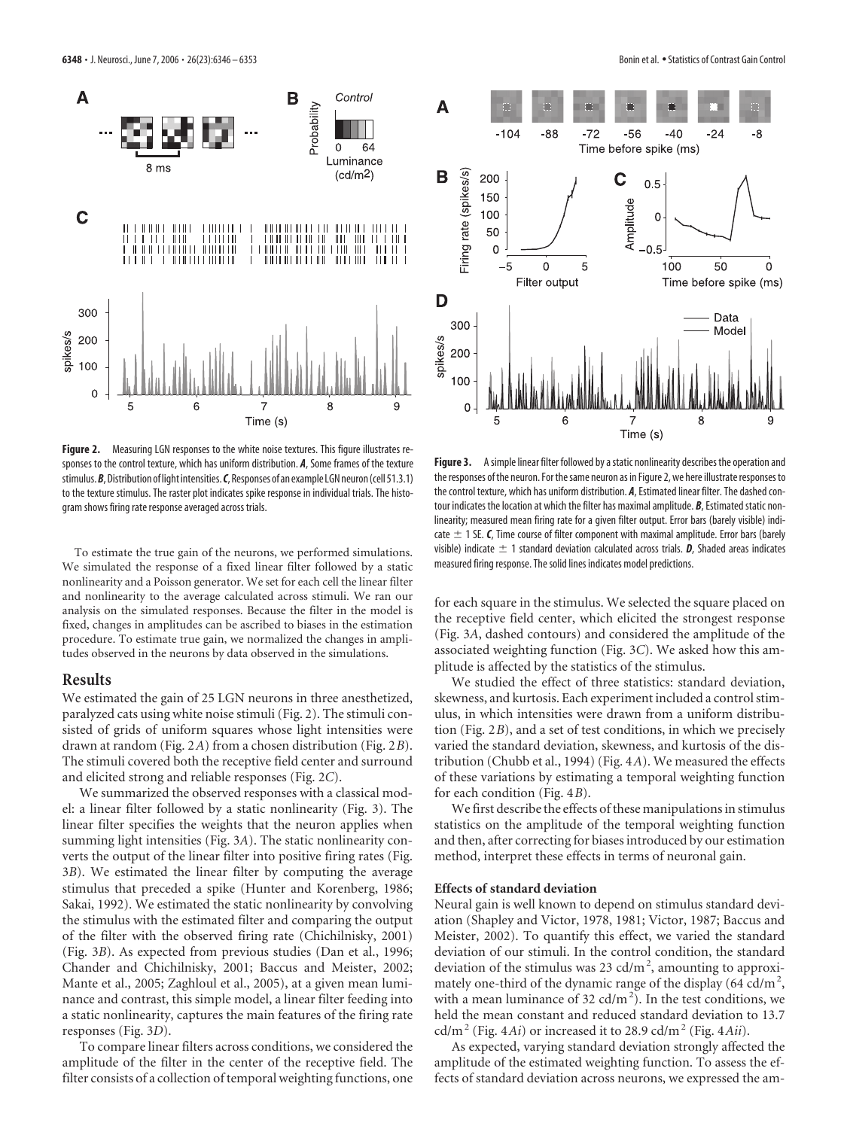

**Figure 2.** Measuring LGN responses to the white noise textures. This figure illustrates responses to the control texture, which has uniform distribution. *A*, Some frames of the texture stimulus.*B*,Distribution of light intensities.*C*, Responses of an example LGN neuron(cell 51.3.1) to the texture stimulus. The raster plot indicates spike response in individual trials. The histogram shows firing rate response averaged across trials.

To estimate the true gain of the neurons, we performed simulations. We simulated the response of a fixed linear filter followed by a static nonlinearity and a Poisson generator. We set for each cell the linear filter and nonlinearity to the average calculated across stimuli. We ran our analysis on the simulated responses. Because the filter in the model is fixed, changes in amplitudes can be ascribed to biases in the estimation procedure. To estimate true gain, we normalized the changes in amplitudes observed in the neurons by data observed in the simulations.

## **Results**

We estimated the gain of 25 LGN neurons in three anesthetized, paralyzed cats using white noise stimuli (Fig. 2). The stimuli consisted of grids of uniform squares whose light intensities were drawn at random (Fig. 2*A*) from a chosen distribution (Fig. 2*B*). The stimuli covered both the receptive field center and surround and elicited strong and reliable responses (Fig. 2*C*).

We summarized the observed responses with a classical model: a linear filter followed by a static nonlinearity (Fig. 3). The linear filter specifies the weights that the neuron applies when summing light intensities (Fig. 3*A*). The static nonlinearity converts the output of the linear filter into positive firing rates (Fig. 3*B*). We estimated the linear filter by computing the average stimulus that preceded a spike (Hunter and Korenberg, 1986; Sakai, 1992). We estimated the static nonlinearity by convolving the stimulus with the estimated filter and comparing the output of the filter with the observed firing rate (Chichilnisky, 2001) (Fig. 3*B*). As expected from previous studies (Dan et al., 1996; Chander and Chichilnisky, 2001; Baccus and Meister, 2002; Mante et al., 2005; Zaghloul et al., 2005), at a given mean luminance and contrast, this simple model, a linear filter feeding into a static nonlinearity, captures the main features of the firing rate responses (Fig. 3*D*).

To compare linear filters across conditions, we considered the amplitude of the filter in the center of the receptive field. The filter consists of a collection of temporal weighting functions, one



Figure 3. A simple linear filter followed by a static nonlinearity describes the operation and the responses of the neuron. For the same neuron as in Figure 2, we here illustrate responses to the control texture, which has uniform distribution. *A*, Estimated linear filter. The dashed contour indicates the location at which the filter has maximal amplitude. *B*, Estimated static nonlinearity; measured mean firing rate for a given filter output. Error bars (barely visible) indicate  $\pm$  1 SE. *C*, Time course of filter component with maximal amplitude. Error bars (barely visible) indicate  $\pm$  1 standard deviation calculated across trials.  $D$ , Shaded areas indicates measured firing response. The solid lines indicates model predictions.

for each square in the stimulus. We selected the square placed on the receptive field center, which elicited the strongest response (Fig. 3*A*, dashed contours) and considered the amplitude of the associated weighting function (Fig. 3*C*). We asked how this amplitude is affected by the statistics of the stimulus.

We studied the effect of three statistics: standard deviation, skewness, and kurtosis. Each experiment included a control stimulus, in which intensities were drawn from a uniform distribution (Fig. 2*B*), and a set of test conditions, in which we precisely varied the standard deviation, skewness, and kurtosis of the distribution (Chubb et al., 1994) (Fig. 4*A*). We measured the effects of these variations by estimating a temporal weighting function for each condition (Fig. 4*B*).

We first describe the effects of these manipulations in stimulus statistics on the amplitude of the temporal weighting function and then, after correcting for biases introduced by our estimation method, interpret these effects in terms of neuronal gain.

#### **Effects of standard deviation**

Neural gain is well known to depend on stimulus standard deviation (Shapley and Victor, 1978, 1981; Victor, 1987; Baccus and Meister, 2002). To quantify this effect, we varied the standard deviation of our stimuli. In the control condition, the standard deviation of the stimulus was 23  $\text{cd/m}^2$ , amounting to approximately one-third of the dynamic range of the display  $(64 \text{ cd/m}^2,$ with a mean luminance of 32 cd/m<sup>2</sup>). In the test conditions, we held the mean constant and reduced standard deviation to 13.7 cd/m<sup>2</sup> (Fig. 4*Ai*) or increased it to 28.9 cd/m<sup>2</sup> (Fig. 4*Aii*).

As expected, varying standard deviation strongly affected the amplitude of the estimated weighting function. To assess the effects of standard deviation across neurons, we expressed the am-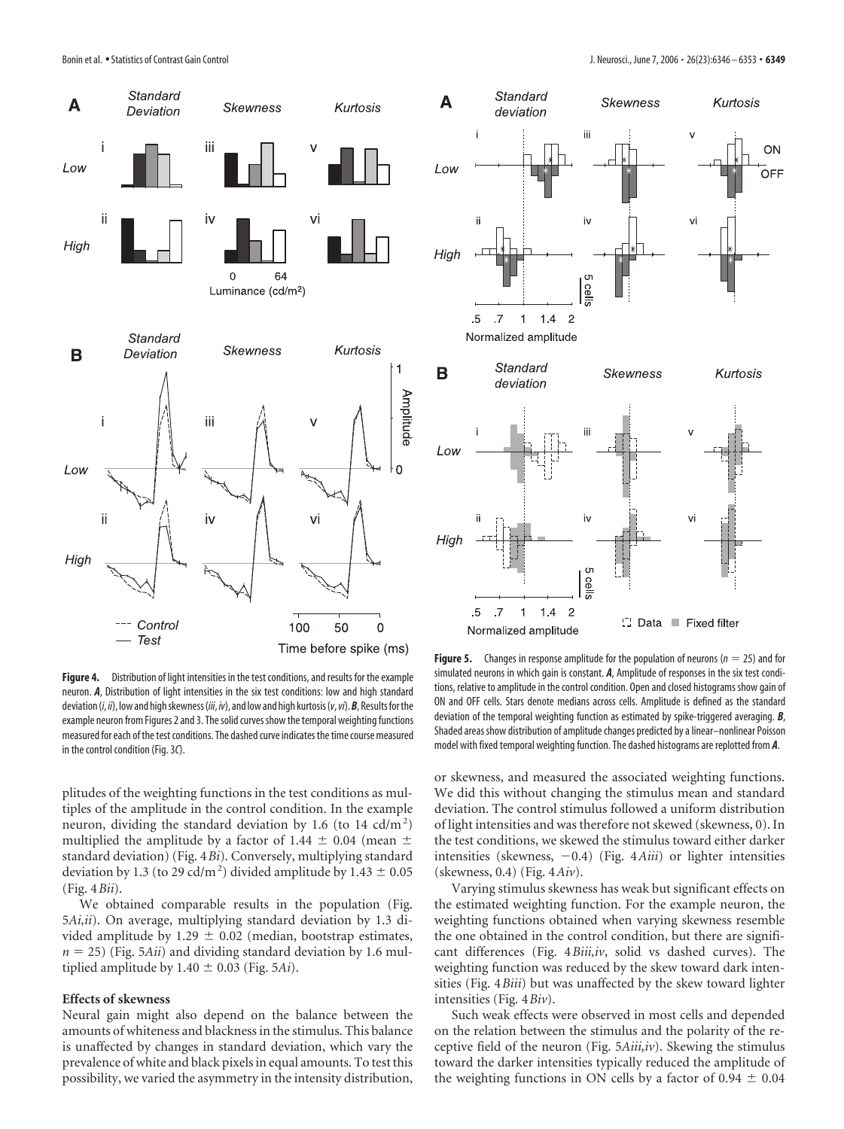

**Figure 4.** Distribution of light intensities in the test conditions, and results for the example neuron. *A*, Distribution of light intensities in the six test conditions: low and high standard deviation(*i*, *ii*), low and highskewness(*iii*, *iv*), and low and high kurtosis(*v*,*vi*).*B*, Resultsforthe example neuron from Figures 2 and 3. The solid curves show the temporal weighting functions measured for each of the test conditions. The dashed curve indicates the time course measured in the control condition (Fig. 3*C*).

plitudes of the weighting functions in the test conditions as multiples of the amplitude in the control condition. In the example neuron, dividing the standard deviation by 1.6 (to 14  $\text{cd/m}^2$ ) multiplied the amplitude by a factor of 1.44  $\pm$  0.04 (mean  $\pm$ standard deviation) (Fig. 4*Bi*). Conversely, multiplying standard deviation by 1.3 (to 29 cd/m<sup>2</sup>) divided amplitude by 1.43  $\pm$  0.05 (Fig. 4*Bii*).

We obtained comparable results in the population (Fig. 5*Ai,ii*). On average, multiplying standard deviation by 1.3 divided amplitude by 1.29  $\pm$  0.02 (median, bootstrap estimates,  $n = 25$ ) (Fig. 5*Aii*) and dividing standard deviation by 1.6 multiplied amplitude by  $1.40 \pm 0.03$  (Fig. 5*Ai*).

## **Effects of skewness**

Neural gain might also depend on the balance between the amounts of whiteness and blackness in the stimulus. This balance is unaffected by changes in standard deviation, which vary the prevalence of white and black pixels in equal amounts. To test this possibility, we varied the asymmetry in the intensity distribution,



**Figure 5.** Changes in response amplitude for the population of neurons ( $n = 25$ ) and for simulated neurons in which gain is constant. *A*, Amplitude of responses in the six test conditions, relative to amplitude in the control condition. Open and closed histograms show gain of ON and OFF cells. Stars denote medians across cells. Amplitude is defined as the standard deviation of the temporal weighting function as estimated by spike-triggered averaging. *B*, Shaded areas show distribution of amplitude changes predicted by a linear–nonlinear Poisson model with fixed temporal weighting function. The dashed histograms are replotted from *A*.

or skewness, and measured the associated weighting functions. We did this without changing the stimulus mean and standard deviation. The control stimulus followed a uniform distribution of light intensities and was therefore not skewed (skewness, 0). In the test conditions, we skewed the stimulus toward either darker intensities (skewness, -0.4) (Fig. 4Aiii) or lighter intensities (skewness, 0.4) (Fig. 4*Aiv*).

Varying stimulus skewness has weak but significant effects on the estimated weighting function. For the example neuron, the weighting functions obtained when varying skewness resemble the one obtained in the control condition, but there are significant differences (Fig. 4*Biii,iv*, solid vs dashed curves). The weighting function was reduced by the skew toward dark intensities (Fig. 4*Biii*) but was unaffected by the skew toward lighter intensities (Fig. 4*Biv*).

Such weak effects were observed in most cells and depended on the relation between the stimulus and the polarity of the receptive field of the neuron (Fig. 5*Aiii,iv*). Skewing the stimulus toward the darker intensities typically reduced the amplitude of the weighting functions in ON cells by a factor of  $0.94 \pm 0.04$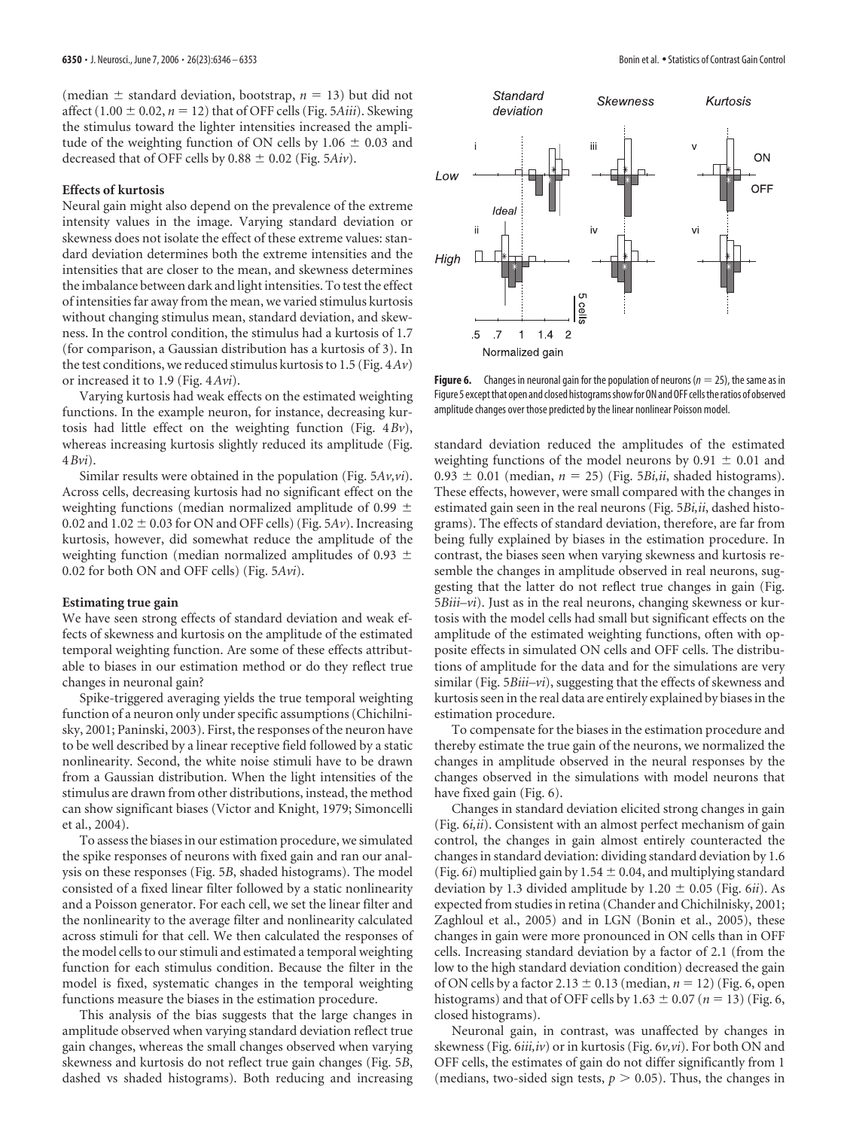(median  $\pm$  standard deviation, bootstrap,  $n = 13$ ) but did not affect  $(1.00 \pm 0.02, n = 12)$  that of OFF cells (Fig. 5*Aiii*). Skewing the stimulus toward the lighter intensities increased the amplitude of the weighting function of ON cells by 1.06  $\pm$  0.03 and decreased that of OFF cells by  $0.88 \pm 0.02$  (Fig. 5*Aiv*).

### **Effects of kurtosis**

Neural gain might also depend on the prevalence of the extreme intensity values in the image. Varying standard deviation or skewness does not isolate the effect of these extreme values: standard deviation determines both the extreme intensities and the intensities that are closer to the mean, and skewness determines the imbalance between dark and light intensities. To test the effect of intensities far away from the mean, we varied stimulus kurtosis without changing stimulus mean, standard deviation, and skewness. In the control condition, the stimulus had a kurtosis of 1.7 (for comparison, a Gaussian distribution has a kurtosis of 3). In the test conditions, we reduced stimulus kurtosis to 1.5 (Fig. 4*Av*) or increased it to 1.9 (Fig. 4*Avi*).

Varying kurtosis had weak effects on the estimated weighting functions. In the example neuron, for instance, decreasing kurtosis had little effect on the weighting function (Fig. 4*Bv*), whereas increasing kurtosis slightly reduced its amplitude (Fig. 4*Bvi*).

Similar results were obtained in the population (Fig. 5*Av,vi*). Across cells, decreasing kurtosis had no significant effect on the weighting functions (median normalized amplitude of 0.99  $\pm$ 0.02 and  $1.02 \pm 0.03$  for ON and OFF cells) (Fig. 5Av). Increasing kurtosis, however, did somewhat reduce the amplitude of the weighting function (median normalized amplitudes of 0.93  $\pm$ 0.02 for both ON and OFF cells) (Fig. 5*Avi*).

#### **Estimating true gain**

We have seen strong effects of standard deviation and weak effects of skewness and kurtosis on the amplitude of the estimated temporal weighting function. Are some of these effects attributable to biases in our estimation method or do they reflect true changes in neuronal gain?

Spike-triggered averaging yields the true temporal weighting function of a neuron only under specific assumptions (Chichilnisky, 2001; Paninski, 2003). First, the responses of the neuron have to be well described by a linear receptive field followed by a static nonlinearity. Second, the white noise stimuli have to be drawn from a Gaussian distribution. When the light intensities of the stimulus are drawn from other distributions, instead, the method can show significant biases (Victor and Knight, 1979; Simoncelli et al., 2004).

To assess the biases in our estimation procedure, we simulated the spike responses of neurons with fixed gain and ran our analysis on these responses (Fig. 5*B*, shaded histograms). The model consisted of a fixed linear filter followed by a static nonlinearity and a Poisson generator. For each cell, we set the linear filter and the nonlinearity to the average filter and nonlinearity calculated across stimuli for that cell. We then calculated the responses of the model cells to our stimuli and estimated a temporal weighting function for each stimulus condition. Because the filter in the model is fixed, systematic changes in the temporal weighting functions measure the biases in the estimation procedure.

This analysis of the bias suggests that the large changes in amplitude observed when varying standard deviation reflect true gain changes, whereas the small changes observed when varying skewness and kurtosis do not reflect true gain changes (Fig. 5*B*, dashed vs shaded histograms). Both reducing and increasing



**Figure 6.** Changes in neuronal gain for the population of neurons ( $n = 25$ ), the same as in Figure 5 except that open and closed histograms show for ON and OFF cells the ratios of observed amplitude changes over those predicted by the linear nonlinear Poisson model.

standard deviation reduced the amplitudes of the estimated weighting functions of the model neurons by 0.91  $\pm$  0.01 and  $0.93 \pm 0.01$  (median,  $n = 25$ ) (Fig. 5*Bi,ii*, shaded histograms). These effects, however, were small compared with the changes in estimated gain seen in the real neurons (Fig. 5*Bi,ii*, dashed histograms). The effects of standard deviation, therefore, are far from being fully explained by biases in the estimation procedure. In contrast, the biases seen when varying skewness and kurtosis resemble the changes in amplitude observed in real neurons, suggesting that the latter do not reflect true changes in gain (Fig. 5*Biii–vi*). Just as in the real neurons, changing skewness or kurtosis with the model cells had small but significant effects on the amplitude of the estimated weighting functions, often with opposite effects in simulated ON cells and OFF cells. The distributions of amplitude for the data and for the simulations are very similar (Fig. 5*Biii–vi*), suggesting that the effects of skewness and kurtosis seen in the real data are entirely explained by biases in the estimation procedure.

To compensate for the biases in the estimation procedure and thereby estimate the true gain of the neurons, we normalized the changes in amplitude observed in the neural responses by the changes observed in the simulations with model neurons that have fixed gain (Fig. 6).

Changes in standard deviation elicited strong changes in gain (Fig. 6*i,ii*). Consistent with an almost perfect mechanism of gain control, the changes in gain almost entirely counteracted the changes in standard deviation: dividing standard deviation by 1.6 (Fig.  $6i$ ) multiplied gain by 1.54  $\pm$  0.04, and multiplying standard deviation by 1.3 divided amplitude by 1.20  $\pm$  0.05 (Fig. 6*ii*). As expected from studies in retina (Chander and Chichilnisky, 2001; Zaghloul et al., 2005) and in LGN (Bonin et al., 2005), these changes in gain were more pronounced in ON cells than in OFF cells. Increasing standard deviation by a factor of 2.1 (from the low to the high standard deviation condition) decreased the gain of ON cells by a factor 2.13  $\pm$  0.13 (median,  $n = 12$ ) (Fig. 6, open histograms) and that of OFF cells by  $1.63 \pm 0.07$  ( $n = 13$ ) (Fig. 6, closed histograms).

Neuronal gain, in contrast, was unaffected by changes in skewness (Fig. 6*iii,iv*) or in kurtosis (Fig. 6*v,vi*). For both ON and OFF cells, the estimates of gain do not differ significantly from 1 (medians, two-sided sign tests,  $p > 0.05$ ). Thus, the changes in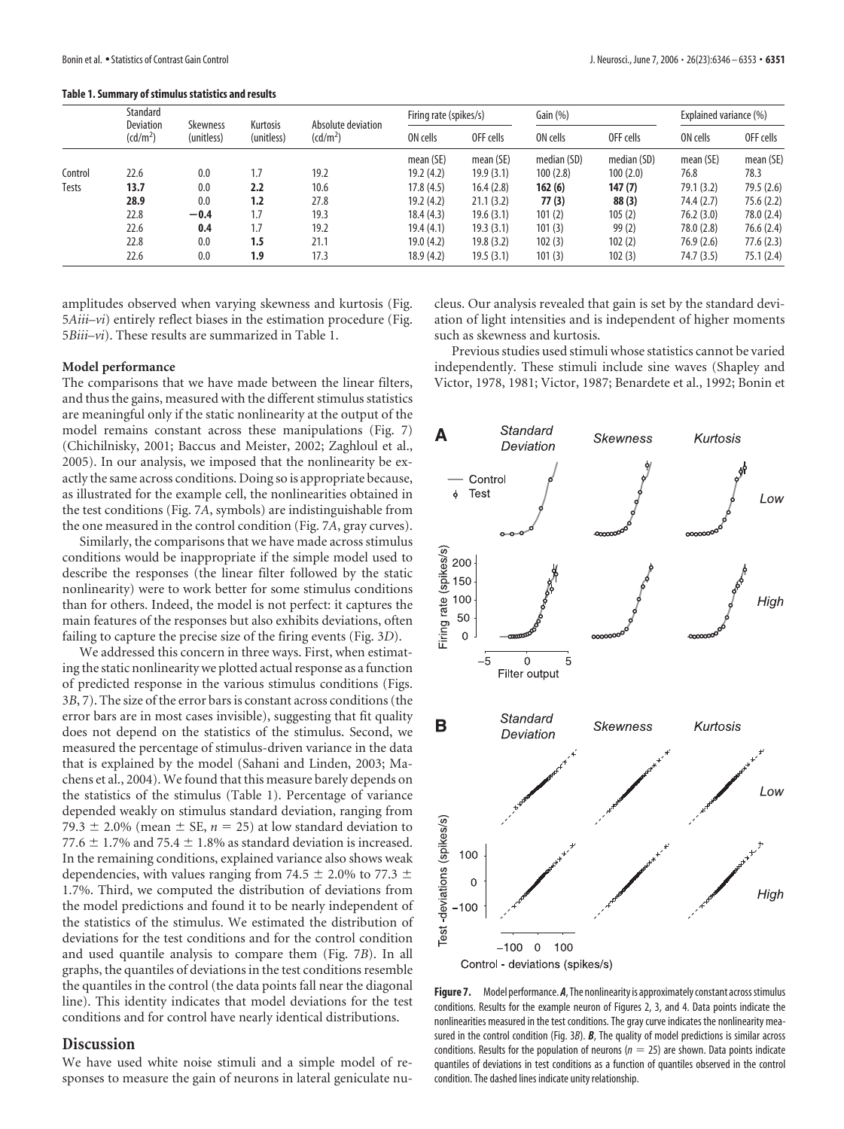|              | Standard<br><b>Deviation</b><br>(cd/m <sup>2</sup> ) | <b>Skewness</b><br>(unitless) | Kurtosis<br>(unitless) | Absolute deviation<br>(cd/m <sup>2</sup> ) | Firing rate (spikes/s) |           | Gain(%)     |             | Explained variance (%) |            |
|--------------|------------------------------------------------------|-------------------------------|------------------------|--------------------------------------------|------------------------|-----------|-------------|-------------|------------------------|------------|
|              |                                                      |                               |                        |                                            | ON cells               | OFF cells | ON cells    | OFF cells   | ON cells               | OFF cells  |
|              |                                                      |                               |                        |                                            | mean (SE)              | mean (SE) | median (SD) | median (SD) | mean (SE)              | mean (SE)  |
| Control      | 22.6                                                 | 0.0                           | 1.7                    | 19.2                                       | 19.2(4.2)              | 19.9(3.1) | 100(2.8)    | 100(2.0)    | 76.8                   | 78.3       |
| <b>Tests</b> | 13.7                                                 | 0.0                           | 2.2                    | 10.6                                       | 17.8(4.5)              | 16.4(2.8) | 162(6)      | 147(7)      | 79.1 (3.2)             | 79.5(2.6)  |
|              | 28.9                                                 | 0.0                           | 1.2                    | 27.8                                       | 19.2(4.2)              | 21.1(3.2) | 77(3)       | 88 (3)      | 74.4 (2.7)             | 75.6(2.2)  |
|              | 22.8                                                 | $-0.4$                        | 1.7                    | 19.3                                       | 18.4(4.3)              | 19.6(3.1) | 101(2)      | 105(2)      | 76.2(3.0)              | 78.0 (2.4) |
|              | 22.6                                                 | 0.4                           | 1.7                    | 19.2                                       | 19.4(4.1)              | 19.3(3.1) | 101(3)      | 99(2)       | 78.0 (2.8)             | 76.6(2.4)  |
|              | 22.8                                                 | 0.0                           | 1.5                    | 21.1                                       | 19.0(4.2)              | 19.8(3.2) | 102(3)      | 102(2)      | 76.9(2.6)              | 77.6(2.3)  |
|              | 22.6                                                 | 0.0                           | 1.9                    | 17.3                                       | 18.9(4.2)              | 19.5(3.1) | 101(3)      | 102(3)      | 74.7 (3.5)             | 75.1(2.4)  |

**Table 1. Summary of stimulus statistics and results**

amplitudes observed when varying skewness and kurtosis (Fig. 5*Aiii–vi*) entirely reflect biases in the estimation procedure (Fig. 5*Biii–vi*). These results are summarized in Table 1.

#### **Model performance**

The comparisons that we have made between the linear filters, and thus the gains, measured with the different stimulus statistics are meaningful only if the static nonlinearity at the output of the model remains constant across these manipulations (Fig. 7) (Chichilnisky, 2001; Baccus and Meister, 2002; Zaghloul et al., 2005). In our analysis, we imposed that the nonlinearity be exactly the same across conditions. Doing so is appropriate because, as illustrated for the example cell, the nonlinearities obtained in the test conditions (Fig. 7*A*, symbols) are indistinguishable from the one measured in the control condition (Fig. 7*A*, gray curves).

Similarly, the comparisons that we have made across stimulus conditions would be inappropriate if the simple model used to describe the responses (the linear filter followed by the static nonlinearity) were to work better for some stimulus conditions than for others. Indeed, the model is not perfect: it captures the main features of the responses but also exhibits deviations, often failing to capture the precise size of the firing events (Fig. 3*D*).

We addressed this concern in three ways. First, when estimating the static nonlinearity we plotted actual response as a function of predicted response in the various stimulus conditions (Figs. 3*B*, 7). The size of the error bars is constant across conditions (the error bars are in most cases invisible), suggesting that fit quality does not depend on the statistics of the stimulus. Second, we measured the percentage of stimulus-driven variance in the data that is explained by the model (Sahani and Linden, 2003; Machens et al., 2004). We found that this measure barely depends on the statistics of the stimulus (Table 1). Percentage of variance depended weakly on stimulus standard deviation, ranging from 79.3  $\pm$  2.0% (mean  $\pm$  SE,  $n = 25$ ) at low standard deviation to 77.6  $\pm$  1.7% and 75.4  $\pm$  1.8% as standard deviation is increased. In the remaining conditions, explained variance also shows weak dependencies, with values ranging from 74.5  $\pm$  2.0% to 77.3  $\pm$ 1.7%. Third, we computed the distribution of deviations from the model predictions and found it to be nearly independent of the statistics of the stimulus. We estimated the distribution of deviations for the test conditions and for the control condition and used quantile analysis to compare them (Fig. 7*B*). In all graphs, the quantiles of deviations in the test conditions resemble the quantiles in the control (the data points fall near the diagonal line). This identity indicates that model deviations for the test conditions and for control have nearly identical distributions.

#### **Discussion**

We have used white noise stimuli and a simple model of responses to measure the gain of neurons in lateral geniculate nucleus. Our analysis revealed that gain is set by the standard deviation of light intensities and is independent of higher moments such as skewness and kurtosis.

Previous studies used stimuli whose statistics cannot be varied independently. These stimuli include sine waves (Shapley and Victor, 1978, 1981; Victor, 1987; Benardete et al., 1992; Bonin et



Figure 7. Model performance. A, The nonlinearity is approximately constant across stimulus conditions. Results for the example neuron of Figures 2, 3, and 4. Data points indicate the nonlinearities measured in the test conditions. The gray curve indicates the nonlinearity measured in the control condition (Fig. 3*B*). *B*, The quality of model predictions is similar across conditions. Results for the population of neurons ( $n = 25$ ) are shown. Data points indicate quantiles of deviations in test conditions as a function of quantiles observed in the control condition. The dashed lines indicate unity relationship.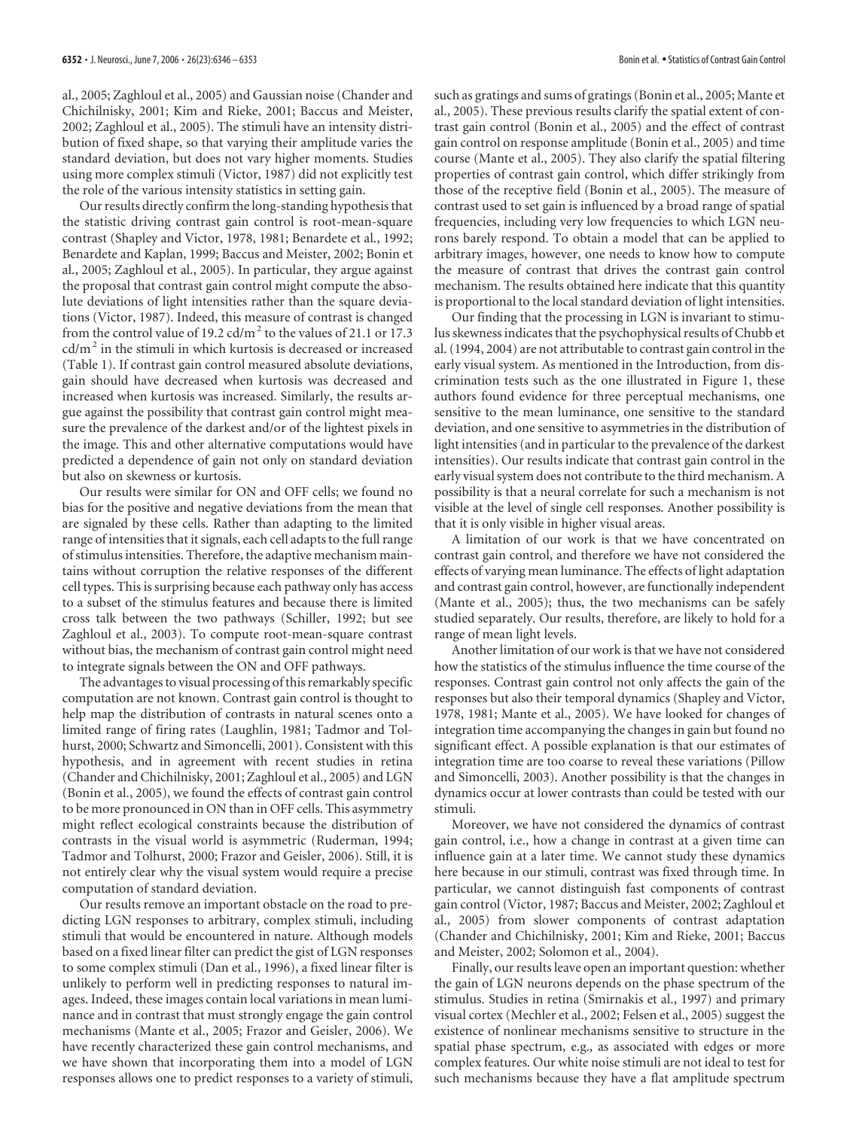al., 2005; Zaghloul et al., 2005) and Gaussian noise (Chander and Chichilnisky, 2001; Kim and Rieke, 2001; Baccus and Meister, 2002; Zaghloul et al., 2005). The stimuli have an intensity distribution of fixed shape, so that varying their amplitude varies the standard deviation, but does not vary higher moments. Studies using more complex stimuli (Victor, 1987) did not explicitly test the role of the various intensity statistics in setting gain.

Our results directly confirm the long-standing hypothesis that the statistic driving contrast gain control is root-mean-square contrast (Shapley and Victor, 1978, 1981; Benardete et al., 1992; Benardete and Kaplan, 1999; Baccus and Meister, 2002; Bonin et al., 2005; Zaghloul et al., 2005). In particular, they argue against the proposal that contrast gain control might compute the absolute deviations of light intensities rather than the square deviations (Victor, 1987). Indeed, this measure of contrast is changed from the control value of 19.2 cd/m<sup>2</sup> to the values of 21.1 or 17.3  $cd/m<sup>2</sup>$  in the stimuli in which kurtosis is decreased or increased (Table 1). If contrast gain control measured absolute deviations, gain should have decreased when kurtosis was decreased and increased when kurtosis was increased. Similarly, the results argue against the possibility that contrast gain control might measure the prevalence of the darkest and/or of the lightest pixels in the image. This and other alternative computations would have predicted a dependence of gain not only on standard deviation but also on skewness or kurtosis.

Our results were similar for ON and OFF cells; we found no bias for the positive and negative deviations from the mean that are signaled by these cells. Rather than adapting to the limited range of intensities that it signals, each cell adapts to the full range of stimulus intensities. Therefore, the adaptive mechanism maintains without corruption the relative responses of the different cell types. This is surprising because each pathway only has access to a subset of the stimulus features and because there is limited cross talk between the two pathways (Schiller, 1992; but see Zaghloul et al., 2003). To compute root-mean-square contrast without bias, the mechanism of contrast gain control might need to integrate signals between the ON and OFF pathways.

The advantages to visual processing of this remarkably specific computation are not known. Contrast gain control is thought to help map the distribution of contrasts in natural scenes onto a limited range of firing rates (Laughlin, 1981; Tadmor and Tolhurst, 2000; Schwartz and Simoncelli, 2001). Consistent with this hypothesis, and in agreement with recent studies in retina (Chander and Chichilnisky, 2001; Zaghloul et al., 2005) and LGN (Bonin et al., 2005), we found the effects of contrast gain control to be more pronounced in ON than in OFF cells. This asymmetry might reflect ecological constraints because the distribution of contrasts in the visual world is asymmetric (Ruderman, 1994; Tadmor and Tolhurst, 2000; Frazor and Geisler, 2006). Still, it is not entirely clear why the visual system would require a precise computation of standard deviation.

Our results remove an important obstacle on the road to predicting LGN responses to arbitrary, complex stimuli, including stimuli that would be encountered in nature. Although models based on a fixed linear filter can predict the gist of LGN responses to some complex stimuli (Dan et al., 1996), a fixed linear filter is unlikely to perform well in predicting responses to natural images. Indeed, these images contain local variations in mean luminance and in contrast that must strongly engage the gain control mechanisms (Mante et al., 2005; Frazor and Geisler, 2006). We have recently characterized these gain control mechanisms, and we have shown that incorporating them into a model of LGN responses allows one to predict responses to a variety of stimuli,

such as gratings and sums of gratings (Bonin et al., 2005; Mante et al., 2005). These previous results clarify the spatial extent of contrast gain control (Bonin et al., 2005) and the effect of contrast gain control on response amplitude (Bonin et al., 2005) and time course (Mante et al., 2005). They also clarify the spatial filtering properties of contrast gain control, which differ strikingly from those of the receptive field (Bonin et al., 2005). The measure of contrast used to set gain is influenced by a broad range of spatial frequencies, including very low frequencies to which LGN neurons barely respond. To obtain a model that can be applied to arbitrary images, however, one needs to know how to compute the measure of contrast that drives the contrast gain control mechanism. The results obtained here indicate that this quantity is proportional to the local standard deviation of light intensities.

Our finding that the processing in LGN is invariant to stimulus skewness indicates that the psychophysical results of Chubb et al. (1994, 2004) are not attributable to contrast gain control in the early visual system. As mentioned in the Introduction, from discrimination tests such as the one illustrated in Figure 1, these authors found evidence for three perceptual mechanisms, one sensitive to the mean luminance, one sensitive to the standard deviation, and one sensitive to asymmetries in the distribution of light intensities (and in particular to the prevalence of the darkest intensities). Our results indicate that contrast gain control in the early visual system does not contribute to the third mechanism. A possibility is that a neural correlate for such a mechanism is not visible at the level of single cell responses. Another possibility is that it is only visible in higher visual areas.

A limitation of our work is that we have concentrated on contrast gain control, and therefore we have not considered the effects of varying mean luminance. The effects of light adaptation and contrast gain control, however, are functionally independent (Mante et al., 2005); thus, the two mechanisms can be safely studied separately. Our results, therefore, are likely to hold for a range of mean light levels.

Another limitation of our work is that we have not considered how the statistics of the stimulus influence the time course of the responses. Contrast gain control not only affects the gain of the responses but also their temporal dynamics (Shapley and Victor, 1978, 1981; Mante et al., 2005). We have looked for changes of integration time accompanying the changes in gain but found no significant effect. A possible explanation is that our estimates of integration time are too coarse to reveal these variations (Pillow and Simoncelli, 2003). Another possibility is that the changes in dynamics occur at lower contrasts than could be tested with our stimuli.

Moreover, we have not considered the dynamics of contrast gain control, i.e., how a change in contrast at a given time can influence gain at a later time. We cannot study these dynamics here because in our stimuli, contrast was fixed through time. In particular, we cannot distinguish fast components of contrast gain control (Victor, 1987; Baccus and Meister, 2002; Zaghloul et al., 2005) from slower components of contrast adaptation (Chander and Chichilnisky, 2001; Kim and Rieke, 2001; Baccus and Meister, 2002; Solomon et al., 2004).

Finally, our results leave open an important question: whether the gain of LGN neurons depends on the phase spectrum of the stimulus. Studies in retina (Smirnakis et al., 1997) and primary visual cortex (Mechler et al., 2002; Felsen et al., 2005) suggest the existence of nonlinear mechanisms sensitive to structure in the spatial phase spectrum, e.g., as associated with edges or more complex features. Our white noise stimuli are not ideal to test for such mechanisms because they have a flat amplitude spectrum